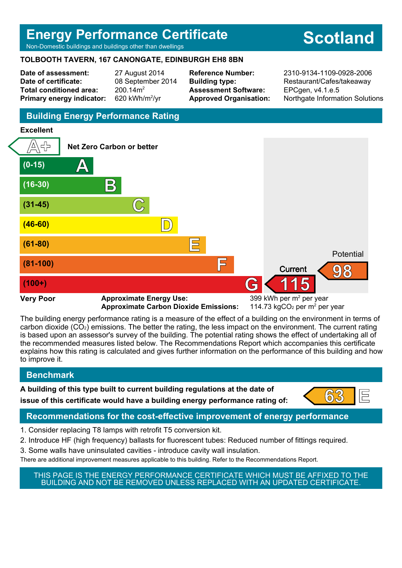## **Energy Performance Certificate**

Non-Domestic buildings and buildings other than dwellings

## **TOLBOOTH TAVERN, 167 CANONGATE, EDINBURGH EH8 8BN**

**Date of assessment:** 27 August 2014 **Date of certificate:** 08 September 2014 **Total conditioned area:** 200.14m<sup>2</sup> **Primary energy indicator:** 

620 kWh/m<sup>2</sup>/vr

**Assessment Software:** EPCgen, v4.1.e.5

**Reference Number:** 2310-9134-1109-0928-2006 **Building type:** Restaurant/Cafes/takeaway **Approved Organisation:** Northgate Information Solutions

## **Building Energy Performance Rating**

#### **Excellent**



**Approximate Carbon Dioxide Emissions:** 

114.73  $kgCO<sub>2</sub>$  per m<sup>2</sup> per year

The building energy performance rating is a measure of the effect of a building on the environment in terms of carbon dioxide (CO2) emissions. The better the rating, the less impact on the environment. The current rating is based upon an assessor's survey of the building. The potential rating shows the effect of undertaking all of the recommended measures listed below. The Recommendations Report which accompanies this certificate explains how this rating is calculated and gives further information on the performance of this building and how to improve it.

## **Benchmark**

**A building of this type built to current building regulations at the date of**

**issue of this certificate would have a building energy performance rating of:**  $\begin{bmatrix} 63 \\ 1 \end{bmatrix}$ 



## **Recommendations for the cost-effective improvement of energy performance**

- 1. Consider replacing T8 lamps with retrofit T5 conversion kit.
- 2. Introduce HF (high frequency) ballasts for fluorescent tubes: Reduced number of fittings required.
- 3. Some walls have uninsulated cavities introduce cavity wall insulation.

There are additional improvement measures applicable to this building. Refer to the Recommendations Report.

THIS PAGE IS THE ENERGY PERFORMANCE CERTIFICATE WHICH MUST BE AFFIXED TO THE BUILDING AND NOT BE REMOVED UNLESS REPLACED WITH AN UPDATED CERTIFICATE.

# **Scotland**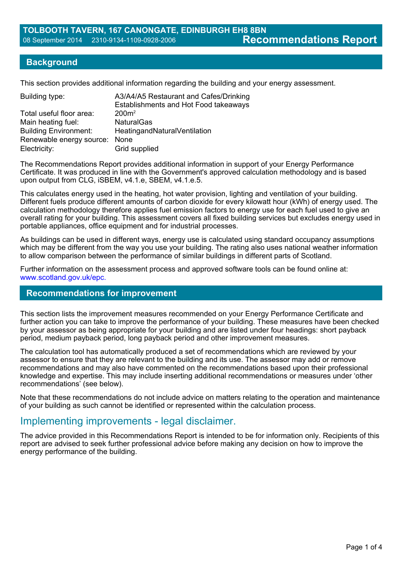#### **Background**

This section provides additional information regarding the building and your energy assessment.

| Building type:               | A3/A4/A5 Restaurant and Cafes/Drinking<br>Establishments and Hot Food takeaways |
|------------------------------|---------------------------------------------------------------------------------|
| Total useful floor area:     | 200m <sup>2</sup>                                                               |
| Main heating fuel:           | <b>NaturalGas</b>                                                               |
| <b>Building Environment:</b> | HeatingandNaturalVentilation                                                    |
| Renewable energy source:     | None                                                                            |
| Electricity:                 | Grid supplied                                                                   |

The Recommendations Report provides additional information in support of your Energy Performance Certificate. It was produced in line with the Government's approved calculation methodology and is based upon output from CLG, iSBEM, v4.1.e, SBEM, v4.1.e.5.

This calculates energy used in the heating, hot water provision, lighting and ventilation of your building. Different fuels produce different amounts of carbon dioxide for every kilowatt hour (kWh) of energy used. The calculation methodology therefore applies fuel emission factors to energy use for each fuel used to give an overall rating for your building. This assessment covers all fixed building services but excludes energy used in portable appliances, office equipment and for industrial processes.

As buildings can be used in different ways, energy use is calculated using standard occupancy assumptions which may be different from the way you use your building. The rating also uses national weather information to allow comparison between the performance of similar buildings in different parts of Scotland.

Further information on the assessment process and approved software tools can be found online at: www.scotland.gov.uk/epc.

#### **Recommendations for improvement**

This section lists the improvement measures recommended on your Energy Performance Certificate and further action you can take to improve the performance of your building. These measures have been checked by your assessor as being appropriate for your building and are listed under four headings: short payback period, medium payback period, long payback period and other improvement measures.

The calculation tool has automatically produced a set of recommendations which are reviewed by your assessor to ensure that they are relevant to the building and its use. The assessor may add or remove recommendations and may also have commented on the recommendations based upon their professional knowledge and expertise. This may include inserting additional recommendations or measures under 'other recommendations' (see below).

Note that these recommendations do not include advice on matters relating to the operation and maintenance of your building as such cannot be identified or represented within the calculation process.

## Implementing improvements - legal disclaimer.

The advice provided in this Recommendations Report is intended to be for information only. Recipients of this report are advised to seek further professional advice before making any decision on how to improve the energy performance of the building.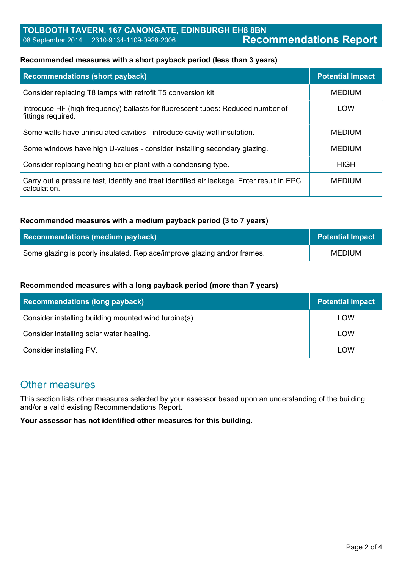#### **Recommended measures with a short payback period (less than 3 years)**

| <b>Recommendations (short payback)</b>                                                                    | <b>Potential Impact</b> |
|-----------------------------------------------------------------------------------------------------------|-------------------------|
| Consider replacing T8 lamps with retrofit T5 conversion kit.                                              | <b>MEDIUM</b>           |
| Introduce HF (high frequency) ballasts for fluorescent tubes: Reduced number of<br>fittings required.     | <b>LOW</b>              |
| Some walls have uninsulated cavities - introduce cavity wall insulation.                                  | <b>MEDIUM</b>           |
| Some windows have high U-values - consider installing secondary glazing.                                  | <b>MEDIUM</b>           |
| Consider replacing heating boiler plant with a condensing type.                                           | HIGH                    |
| Carry out a pressure test, identify and treat identified air leakage. Enter result in EPC<br>calculation. | <b>MEDIUM</b>           |

#### **Recommended measures with a medium payback period (3 to 7 years)**

| <b>Recommendations (medium payback)</b>                                  | <b>Potential Impact</b> |
|--------------------------------------------------------------------------|-------------------------|
| Some glazing is poorly insulated. Replace/improve glazing and/or frames. | <b>MEDIUM</b>           |

#### **Recommended measures with a long payback period (more than 7 years)**

| <b>Recommendations (long payback)</b>                 | <b>Potential Impact</b> |
|-------------------------------------------------------|-------------------------|
| Consider installing building mounted wind turbine(s). | LOW                     |
| Consider installing solar water heating.              | LOW                     |
| Consider installing PV.                               | LOW                     |

## Other measures

This section lists other measures selected by your assessor based upon an understanding of the building and/or a valid existing Recommendations Report.

**Your assessor has not identified other measures for this building.**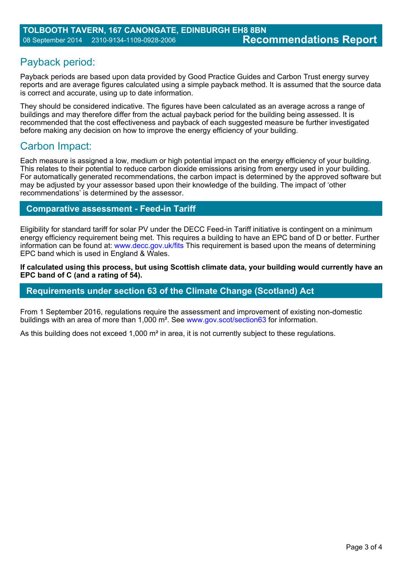## Payback period:

Payback periods are based upon data provided by Good Practice Guides and Carbon Trust energy survey reports and are average figures calculated using a simple payback method. It is assumed that the source data is correct and accurate, using up to date information.

They should be considered indicative. The figures have been calculated as an average across a range of buildings and may therefore differ from the actual payback period for the building being assessed. It is recommended that the cost effectiveness and payback of each suggested measure be further investigated before making any decision on how to improve the energy efficiency of your building.

## Carbon Impact:

Each measure is assigned a low, medium or high potential impact on the energy efficiency of your building. This relates to their potential to reduce carbon dioxide emissions arising from energy used in your building. For automatically generated recommendations, the carbon impact is determined by the approved software but may be adjusted by your assessor based upon their knowledge of the building. The impact of 'other recommendations' is determined by the assessor.

## **Comparative assessment - Feed-in Tariff**

Eligibility for standard tariff for solar PV under the DECC Feed-in Tariff initiative is contingent on a minimum energy efficiency requirement being met. This requires a building to have an EPC band of D or better. Further information can be found at: www.decc.gov.uk/fits This requirement is based upon the means of determining EPC band which is used in England & Wales.

**If calculated using this process, but using Scottish climate data, your building would currently have an EPC band of C (and a rating of 54).**

### **Requirements under section 63 of the Climate Change (Scotland) Act**

From 1 September 2016, regulations require the assessment and improvement of existing non-domestic buildings with an area of more than 1,000 m². See www.gov.scot/section63 for information.

As this building does not exceed 1,000 m<sup>2</sup> in area, it is not currently subject to these regulations.